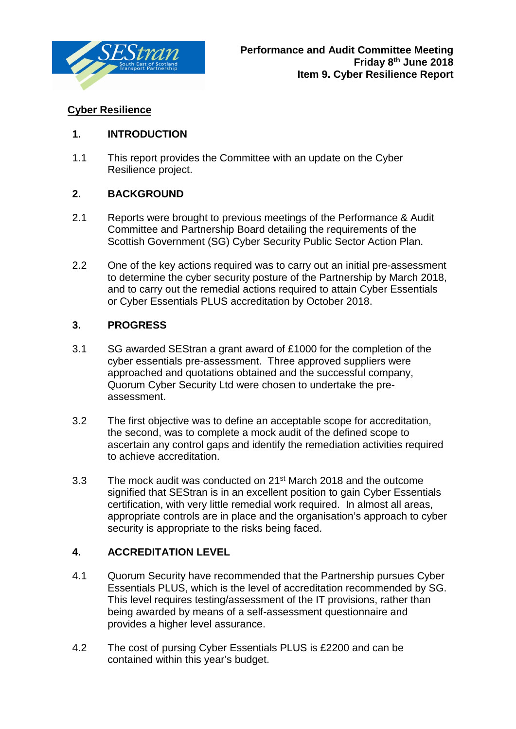

# **Cyber Resilience**

#### **1. INTRODUCTION**

1.1 This report provides the Committee with an update on the Cyber Resilience project.

#### **2. BACKGROUND**

- 2.1 Reports were brought to previous meetings of the Performance & Audit Committee and Partnership Board detailing the requirements of the Scottish Government (SG) Cyber Security Public Sector Action Plan.
- 2.2 One of the key actions required was to carry out an initial pre-assessment to determine the cyber security posture of the Partnership by March 2018, and to carry out the remedial actions required to attain Cyber Essentials or Cyber Essentials PLUS accreditation by October 2018.

# **3. PROGRESS**

- 3.1 SG awarded SEStran a grant award of £1000 for the completion of the cyber essentials pre-assessment. Three approved suppliers were approached and quotations obtained and the successful company, Quorum Cyber Security Ltd were chosen to undertake the preassessment.
- 3.2 The first objective was to define an acceptable scope for accreditation, the second, was to complete a mock audit of the defined scope to ascertain any control gaps and identify the remediation activities required to achieve accreditation.
- 3.3 The mock audit was conducted on 21st March 2018 and the outcome signified that SEStran is in an excellent position to gain Cyber Essentials certification, with very little remedial work required. In almost all areas, appropriate controls are in place and the organisation's approach to cyber security is appropriate to the risks being faced.

# **4. ACCREDITATION LEVEL**

- 4.1 Quorum Security have recommended that the Partnership pursues Cyber Essentials PLUS, which is the level of accreditation recommended by SG. This level requires testing/assessment of the IT provisions, rather than being awarded by means of a self-assessment questionnaire and provides a higher level assurance.
- 4.2 The cost of pursing Cyber Essentials PLUS is £2200 and can be contained within this year's budget.